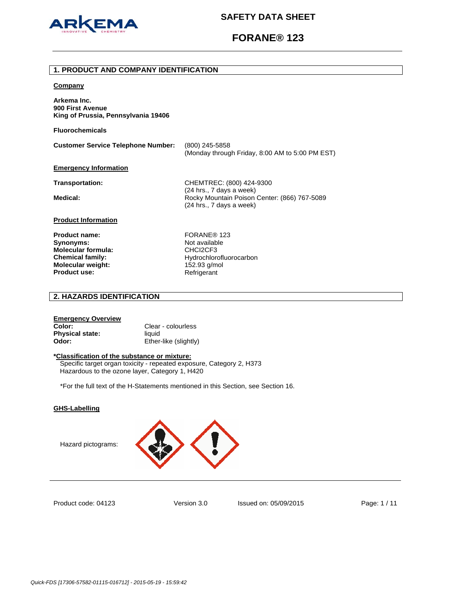

# **FORANE® 123**

### **1. PRODUCT AND COMPANY IDENTIFICATION**

#### **Company**

**Arkema Inc. 900 First Avenue King of Prussia, Pennsylvania 19406** 

**Fluorochemicals**

**Customer Service Telephone Number:** (800) 245-5858 (Monday through Friday, 8:00 AM to 5:00 PM EST)

## **Emergency Information**

**Transportation:** CHEMTREC: (800) 424-9300 (24 hrs., 7 days a week) Medical: **Medical: Rocky Mountain Poison Center: (866) 767-5089** (24 hrs., 7 days a week)

### **Product Information**

Product name: FORANE<sup>®</sup> 123 **Synonyms:** Not available **Molecular formula:** CHCI2CF3 **Molecular weight:** 152.93 g/mol<br> **Product use:** 152.93 Refrigerant **Product use:** 

**Chemical family:** Hydrochlorofluorocarbon

## **2. HAZARDS IDENTIFICATION**

### **Emergency Overview Color:** Clear - colourless **Physical state:** liquid **Odor:** Ether-like (slightly)

#### **\*Classification of the substance or mixture:**

Specific target organ toxicity - repeated exposure, Category 2, H373 Hazardous to the ozone layer, Category 1, H420

\*For the full text of the H-Statements mentioned in this Section, see Section 16.

## **GHS-Labelling**

Hazard pictograms:



Product code: 04123

Version 3.0 Issued on: 05/09/2015 Page: 1 / 11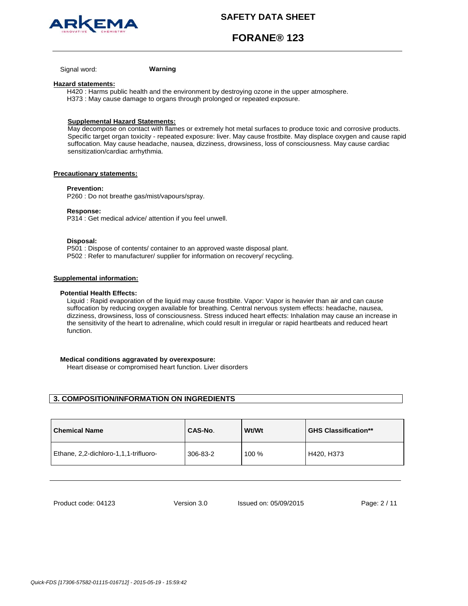



**FORANE® 123**

Signal word: **Warning**

#### **Hazard statements:**

H420 : Harms public health and the environment by destroying ozone in the upper atmosphere. H373 : May cause damage to organs through prolonged or repeated exposure.

### **Supplemental Hazard Statements:**

May decompose on contact with flames or extremely hot metal surfaces to produce toxic and corrosive products. Specific target organ toxicity - repeated exposure: liver. May cause frostbite. May displace oxygen and cause rapid suffocation. May cause headache, nausea, dizziness, drowsiness, loss of consciousness. May cause cardiac sensitization/cardiac arrhythmia.

### **Precautionary statements:**

#### **Prevention:**

P260 : Do not breathe gas/mist/vapours/spray.

#### **Response:**

P314 : Get medical advice/ attention if you feel unwell.

#### **Disposal:**

P501 : Dispose of contents/ container to an approved waste disposal plant. P502 : Refer to manufacturer/ supplier for information on recovery/ recycling.

#### **Supplemental information:**

#### **Potential Health Effects:**

Liquid : Rapid evaporation of the liquid may cause frostbite. Vapor: Vapor is heavier than air and can cause suffocation by reducing oxygen available for breathing. Central nervous system effects: headache, nausea, dizziness, drowsiness, loss of consciousness. Stress induced heart effects: Inhalation may cause an increase in the sensitivity of the heart to adrenaline, which could result in irregular or rapid heartbeats and reduced heart function.

### **Medical conditions aggravated by overexposure:**

Heart disease or compromised heart function. Liver disorders

## **3. COMPOSITION/INFORMATION ON INGREDIENTS**

| <b>Chemical Name</b>                  | CAS-No.  | <b>Wt/Wt</b> | <b>GHS Classification**</b> |
|---------------------------------------|----------|--------------|-----------------------------|
| Ethane, 2,2-dichloro-1,1,1-trifluoro- | 306-83-2 | 100 %        | H420, H373                  |

Product code: 04123

Version 3.0 Issued on: 05/09/2015 Page: 2 / 11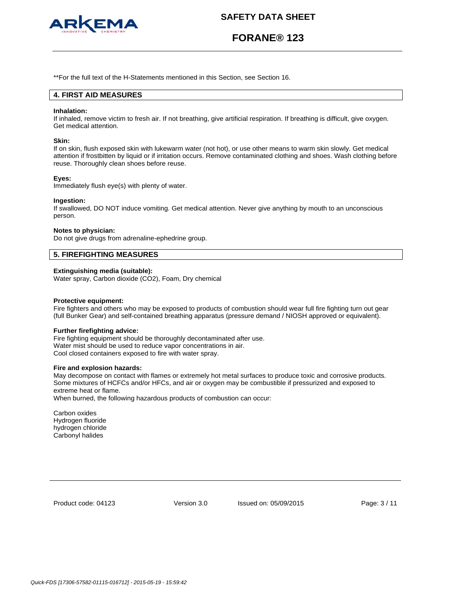

# **FORANE® 123**

\*\*For the full text of the H-Statements mentioned in this Section, see Section 16.

## **4. FIRST AID MEASURES**

#### **Inhalation:**

If inhaled, remove victim to fresh air. If not breathing, give artificial respiration. If breathing is difficult, give oxygen. Get medical attention.

#### **Skin:**

If on skin, flush exposed skin with lukewarm water (not hot), or use other means to warm skin slowly. Get medical attention if frostbitten by liquid or if irritation occurs. Remove contaminated clothing and shoes. Wash clothing before reuse. Thoroughly clean shoes before reuse.

#### **Eyes:**

Immediately flush eye(s) with plenty of water.

#### **Ingestion:**

If swallowed, DO NOT induce vomiting. Get medical attention. Never give anything by mouth to an unconscious person.

#### **Notes to physician:**

Do not give drugs from adrenaline-ephedrine group.

## **5. FIREFIGHTING MEASURES**

#### **Extinguishing media (suitable):**

Water spray, Carbon dioxide (CO2), Foam, Dry chemical

#### **Protective equipment:**

Fire fighters and others who may be exposed to products of combustion should wear full fire fighting turn out gear (full Bunker Gear) and self-contained breathing apparatus (pressure demand / NIOSH approved or equivalent).

#### **Further firefighting advice:**

Fire fighting equipment should be thoroughly decontaminated after use. Water mist should be used to reduce vapor concentrations in air. Cool closed containers exposed to fire with water spray.

#### **Fire and explosion hazards:**

May decompose on contact with flames or extremely hot metal surfaces to produce toxic and corrosive products. Some mixtures of HCFCs and/or HFCs, and air or oxygen may be combustible if pressurized and exposed to extreme heat or flame.

When burned, the following hazardous products of combustion can occur:

Carbon oxides Hydrogen fluoride hydrogen chloride Carbonyl halides

Product code: 04123

Version 3.0 Issued on: 05/09/2015 Page: 3 / 11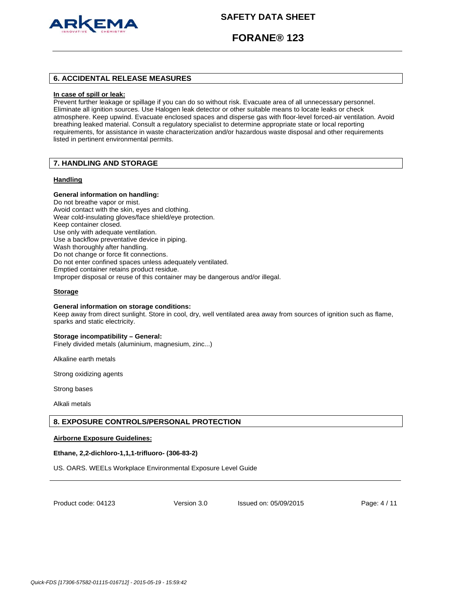

## **FORANE® 123**

## **6. ACCIDENTAL RELEASE MEASURES**

#### **In case of spill or leak:**

Prevent further leakage or spillage if you can do so without risk. Evacuate area of all unnecessary personnel. Eliminate all ignition sources. Use Halogen leak detector or other suitable means to locate leaks or check atmosphere. Keep upwind. Evacuate enclosed spaces and disperse gas with floor-level forced-air ventilation. Avoid breathing leaked material. Consult a regulatory specialist to determine appropriate state or local reporting requirements, for assistance in waste characterization and/or hazardous waste disposal and other requirements listed in pertinent environmental permits.

## **7. HANDLING AND STORAGE**

#### **Handling**

#### **General information on handling:**

Do not breathe vapor or mist. Avoid contact with the skin, eyes and clothing. Wear cold-insulating gloves/face shield/eye protection. Keep container closed. Use only with adequate ventilation. Use a backflow preventative device in piping. Wash thoroughly after handling. Do not change or force fit connections. Do not enter confined spaces unless adequately ventilated. Emptied container retains product residue. Improper disposal or reuse of this container may be dangerous and/or illegal.

### **Storage**

#### **General information on storage conditions:**

Keep away from direct sunlight. Store in cool, dry, well ventilated area away from sources of ignition such as flame, sparks and static electricity.

#### **Storage incompatibility – General:**

Finely divided metals (aluminium, magnesium, zinc...)

Alkaline earth metals

Strong oxidizing agents

Strong bases

Alkali metals

### **8. EXPOSURE CONTROLS/PERSONAL PROTECTION**

#### **Airborne Exposure Guidelines:**

### **Ethane, 2,2-dichloro-1,1,1-trifluoro- (306-83-2)**

US. OARS. WEELs Workplace Environmental Exposure Level Guide

Product code: 04123

Version 3.0 Issued on: 05/09/2015 Page: 4 / 11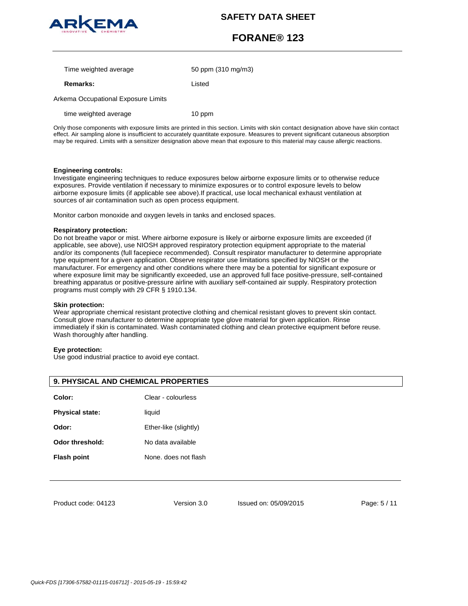

# **FORANE® 123**

| Time weighted average | 50 ppm (310 mg/m3) |
|-----------------------|--------------------|
| <b>Remarks:</b>       | Listed             |

Arkema Occupational Exposure Limits

time weighted average 10 ppm

Only those components with exposure limits are printed in this section. Limits with skin contact designation above have skin contact effect. Air sampling alone is insufficient to accurately quantitate exposure. Measures to prevent significant cutaneous absorption may be required. Limits with a sensitizer designation above mean that exposure to this material may cause allergic reactions.

### **Engineering controls:**

Investigate engineering techniques to reduce exposures below airborne exposure limits or to otherwise reduce exposures. Provide ventilation if necessary to minimize exposures or to control exposure levels to below airborne exposure limits (if applicable see above).If practical, use local mechanical exhaust ventilation at sources of air contamination such as open process equipment.

Monitor carbon monoxide and oxygen levels in tanks and enclosed spaces.

### **Respiratory protection:**

Do not breathe vapor or mist. Where airborne exposure is likely or airborne exposure limits are exceeded (if applicable, see above), use NIOSH approved respiratory protection equipment appropriate to the material and/or its components (full facepiece recommended). Consult respirator manufacturer to determine appropriate type equipment for a given application. Observe respirator use limitations specified by NIOSH or the manufacturer. For emergency and other conditions where there may be a potential for significant exposure or where exposure limit may be significantly exceeded, use an approved full face positive-pressure, self-contained breathing apparatus or positive-pressure airline with auxiliary self-contained air supply. Respiratory protection programs must comply with 29 CFR § 1910.134.

### **Skin protection:**

Wear appropriate chemical resistant protective clothing and chemical resistant gloves to prevent skin contact. Consult glove manufacturer to determine appropriate type glove material for given application. Rinse immediately if skin is contaminated. Wash contaminated clothing and clean protective equipment before reuse. Wash thoroughly after handling.

### **Eye protection:**

Use good industrial practice to avoid eye contact.

| <b>9. PHYSICAL AND CHEMICAL PROPERTIES</b> |                       |  |
|--------------------------------------------|-----------------------|--|
| Color:                                     | Clear - colourless    |  |
| <b>Physical state:</b>                     | liquid                |  |
| Odor:                                      | Ether-like (slightly) |  |
| Odor threshold:                            | No data available     |  |
| <b>Flash point</b>                         | None. does not flash  |  |
|                                            |                       |  |

Product code: 04123

Version 3.0 Issued on: 05/09/2015 Page: 5 / 11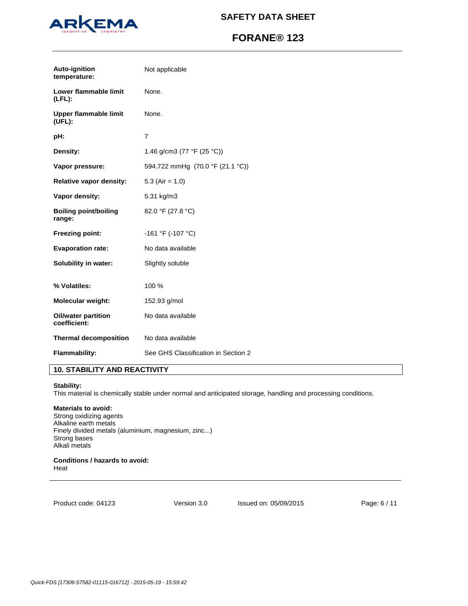

# **FORANE® 123**

| Auto-ignition<br>temperature:          | Not applicable                      |
|----------------------------------------|-------------------------------------|
| Lower flammable limit<br>(LEL):        | None.                               |
| <b>Upper flammable limit</b><br>(UEL): | None.                               |
| pH:                                    | $\overline{7}$                      |
| Density:                               | 1.46 g/cm3 (77 °F (25 °C))          |
| Vapor pressure:                        | 594.722 mmHg (70.0 °F (21.1 °C))    |
| Relative vapor density:                | 5.3 (Air = $1.0$ )                  |
| Vapor density:                         | 5.31 kg/m3                          |
| <b>Boiling point/boiling</b><br>range: | 82.0 °F (27.8 °C)                   |
| <b>Freezing point:</b>                 | -161 °F (-107 °C)                   |
| <b>Evaporation rate:</b>               | No data available                   |
| Solubility in water:                   | Slightly soluble                    |
| % Volatiles:                           | 100 %                               |
| Molecular weight:                      | 152.93 g/mol                        |
| Oil/water partition<br>coefficient:    | No data available                   |
| <b>Thermal decomposition</b>           | No data available                   |
| <b>Flammability:</b>                   | See GHS Classification in Section 2 |

## **10. STABILITY AND REACTIVITY**

## **Stability:**

This material is chemically stable under normal and anticipated storage, handling and processing conditions.

## **Materials to avoid:**

Strong oxidizing agents Alkaline earth metals Finely divided metals (aluminium, magnesium, zinc...) Strong bases Alkali metals

**Conditions / hazards to avoid:**  Heat

Product code: 04123

Version 3.0 Issued on: 05/09/2015 Page: 6 / 11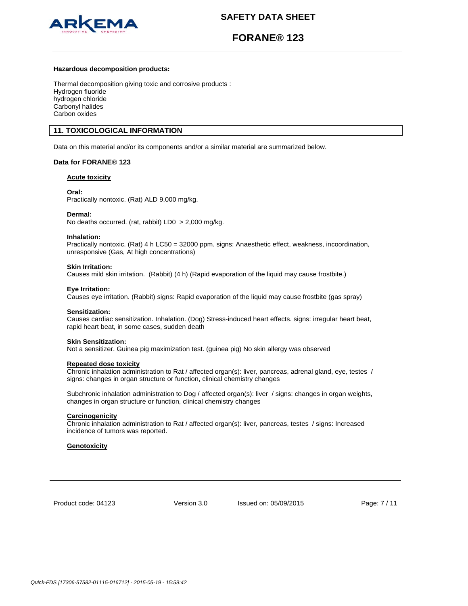

# **FORANE® 123**

#### **Hazardous decomposition products:**

Thermal decomposition giving toxic and corrosive products : Hydrogen fluoride hydrogen chloride Carbonyl halides Carbon oxides

## **11. TOXICOLOGICAL INFORMATION**

Data on this material and/or its components and/or a similar material are summarized below.

### **Data for FORANE® 123**

**Acute toxicity**

#### **Oral:**

Practically nontoxic. (Rat) ALD 9,000 mg/kg.

#### **Dermal:**

No deaths occurred. (rat, rabbit) LD0 > 2,000 mg/kg.

#### **Inhalation:**

Practically nontoxic. (Rat) 4 h LC50 = 32000 ppm. signs: Anaesthetic effect, weakness, incoordination, unresponsive (Gas, At high concentrations)

#### **Skin Irritation:**

Causes mild skin irritation. (Rabbit) (4 h) (Rapid evaporation of the liquid may cause frostbite.)

#### **Eye Irritation:**

Causes eye irritation. (Rabbit) signs: Rapid evaporation of the liquid may cause frostbite (gas spray)

#### **Sensitization:**

Causes cardiac sensitization. Inhalation. (Dog) Stress-induced heart effects. signs: irregular heart beat, rapid heart beat, in some cases, sudden death

#### **Skin Sensitization:**

Not a sensitizer. Guinea pig maximization test. (guinea pig) No skin allergy was observed

## **Repeated dose toxicity**

Chronic inhalation administration to Rat / affected organ(s): liver, pancreas, adrenal gland, eye, testes / signs: changes in organ structure or function, clinical chemistry changes

Subchronic inhalation administration to Dog / affected organ(s): liver / signs: changes in organ weights, changes in organ structure or function, clinical chemistry changes

#### **Carcinogenicity**

Chronic inhalation administration to Rat / affected organ(s): liver, pancreas, testes / signs: Increased incidence of tumors was reported.

### **Genotoxicity**

Product code: 04123

Version 3.0 Issued on: 05/09/2015 Page: 7 / 11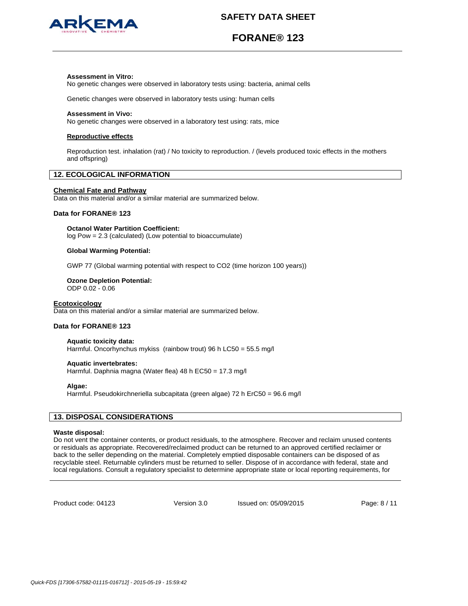

# **FORANE® 123**

### **Assessment in Vitro:**

No genetic changes were observed in laboratory tests using: bacteria, animal cells

Genetic changes were observed in laboratory tests using: human cells

#### **Assessment in Vivo:**

No genetic changes were observed in a laboratory test using: rats, mice

#### **Reproductive effects**

Reproduction test. inhalation (rat) / No toxicity to reproduction. / (levels produced toxic effects in the mothers and offspring)

## **12. ECOLOGICAL INFORMATION**

#### **Chemical Fate and Pathway**

Data on this material and/or a similar material are summarized below.

## **Data for FORANE® 123**

**Octanol Water Partition Coefficient:**

log Pow = 2.3 (calculated) (Low potential to bioaccumulate)

#### **Global Warming Potential:**

GWP 77 (Global warming potential with respect to CO2 (time horizon 100 years))

# **Ozone Depletion Potential:**

ODP 0.02 - 0.06

## **Ecotoxicology**

Data on this material and/or a similar material are summarized below.

## **Data for FORANE® 123**

**Aquatic toxicity data:**  Harmful. Oncorhynchus mykiss (rainbow trout) 96 h LC50 = 55.5 mg/l

#### **Aquatic invertebrates:**

Harmful. Daphnia magna (Water flea) 48 h EC50 = 17.3 mg/l

#### **Algae:**

Harmful. Pseudokirchneriella subcapitata (green algae) 72 h ErC50 = 96.6 mg/l

## **13. DISPOSAL CONSIDERATIONS**

### **Waste disposal:**

Do not vent the container contents, or product residuals, to the atmosphere. Recover and reclaim unused contents or residuals as appropriate. Recovered/reclaimed product can be returned to an approved certified reclaimer or back to the seller depending on the material. Completely emptied disposable containers can be disposed of as recyclable steel. Returnable cylinders must be returned to seller. Dispose of in accordance with federal, state and local regulations. Consult a regulatory specialist to determine appropriate state or local reporting requirements, for

Product code: 04123

Version 3.0 Issued on: 05/09/2015 Page: 8 / 11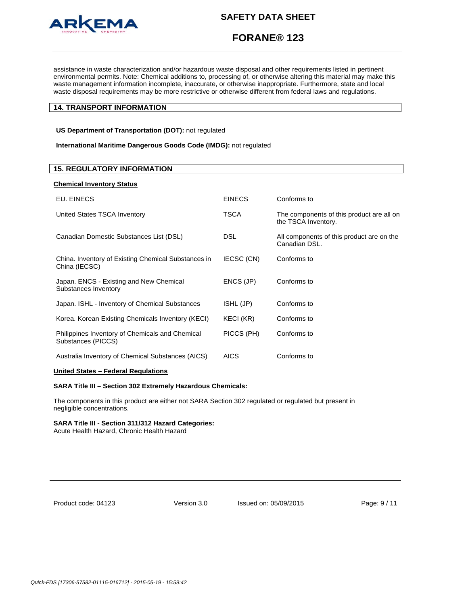

# **FORANE® 123**

assistance in waste characterization and/or hazardous waste disposal and other requirements listed in pertinent environmental permits. Note: Chemical additions to, processing of, or otherwise altering this material may make this waste management information incomplete, inaccurate, or otherwise inappropriate. Furthermore, state and local waste disposal requirements may be more restrictive or otherwise different from federal laws and regulations.

## **14. TRANSPORT INFORMATION**

**US Department of Transportation (DOT):** not regulated

**International Maritime Dangerous Goods Code (IMDG):** not regulated

| <b>Chemical Inventory Status</b>                                      |               |                                                                  |
|-----------------------------------------------------------------------|---------------|------------------------------------------------------------------|
| EU. EINECS                                                            | <b>EINECS</b> | Conforms to                                                      |
| United States TSCA Inventory                                          | TSCA          | The components of this product are all on<br>the TSCA Inventory. |
| Canadian Domestic Substances List (DSL)                               | <b>DSL</b>    | All components of this product are on the<br>Canadian DSL.       |
| China. Inventory of Existing Chemical Substances in<br>China (IECSC)  | IECSC (CN)    | Conforms to                                                      |
| Japan. ENCS - Existing and New Chemical<br>Substances Inventory       | ENCS (JP)     | Conforms to                                                      |
| Japan. ISHL - Inventory of Chemical Substances                        | ISHL (JP)     | Conforms to                                                      |
| Korea. Korean Existing Chemicals Inventory (KECI)                     | KECI (KR)     | Conforms to                                                      |
| Philippines Inventory of Chemicals and Chemical<br>Substances (PICCS) | PICCS (PH)    | Conforms to                                                      |
| Australia Inventory of Chemical Substances (AICS)                     | <b>AICS</b>   | Conforms to                                                      |
| United States - Federal Regulations                                   |               |                                                                  |
|                                                                       |               |                                                                  |

### **SARA Title III – Section 302 Extremely Hazardous Chemicals:**

The components in this product are either not SARA Section 302 regulated or regulated but present in negligible concentrations.

#### **SARA Title III - Section 311/312 Hazard Categories:**

Acute Health Hazard, Chronic Health Hazard

| Product code: 04123 |  |  |
|---------------------|--|--|
|---------------------|--|--|

Version 3.0 Issued on: 05/09/2015 Page: 9 / 11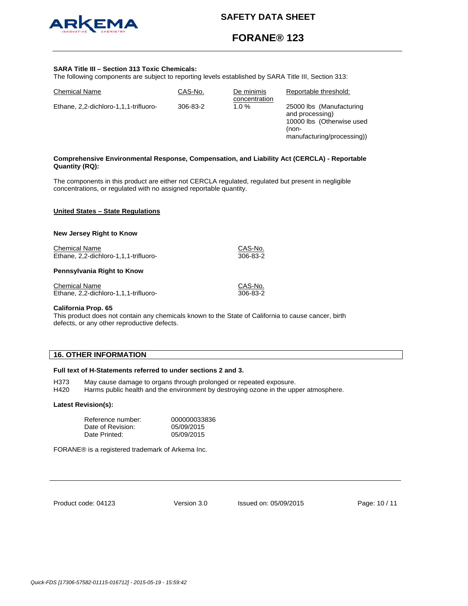

# **FORANE® 123**

#### **SARA Title III – Section 313 Toxic Chemicals:**

The following components are subject to reporting levels established by SARA Title III, Section 313:

| <b>Chemical Name</b>                  | CAS-No.  | De minimis<br>concentration | Reportable threshold:                                                                                           |
|---------------------------------------|----------|-----------------------------|-----------------------------------------------------------------------------------------------------------------|
| Ethane, 2,2-dichloro-1,1,1-trifluoro- | 306-83-2 | 1.0%                        | 25000 lbs (Manufacturing<br>and processing)<br>10000 lbs (Otherwise used<br>(non-<br>manufacturing/processing)) |
|                                       |          |                             |                                                                                                                 |

### **Comprehensive Environmental Response, Compensation, and Liability Act (CERCLA) - Reportable Quantity (RQ):**

The components in this product are either not CERCLA regulated, regulated but present in negligible concentrations, or regulated with no assigned reportable quantity.

#### **United States – State Regulations**

#### **New Jersey Right to Know**

Chemical Name CAS-No. Ethane, 2,2-dichloro-1,1,1-trifluoro- 306-83-2

## **Pennsylvania Right to Know**

Chemical Name<br>
Ethane. 2.2-dichloro-1.1.1-trifluoro-<br>
GAS-No.<br>
206-83-2 Ethane, 2,2-dichloro-1,1,1-trifluoro-

#### **California Prop. 65**

This product does not contain any chemicals known to the State of California to cause cancer, birth defects, or any other reproductive defects.

## **16. OTHER INFORMATION**

### **Full text of H-Statements referred to under sections 2 and 3.**

H373 May cause damage to organs through prolonged or repeated exposure.

H420 Harms public health and the environment by destroying ozone in the upper atmosphere.

#### **Latest Revision(s):**

| Reference number: | 000000033836 |
|-------------------|--------------|
| Date of Revision: | 05/09/2015   |
| Date Printed:     | 05/09/2015   |

FORANE® is a registered trademark of Arkema Inc.

Product code: 04123

Version 3.0 Issued on: 05/09/2015 Page: 10 / 11